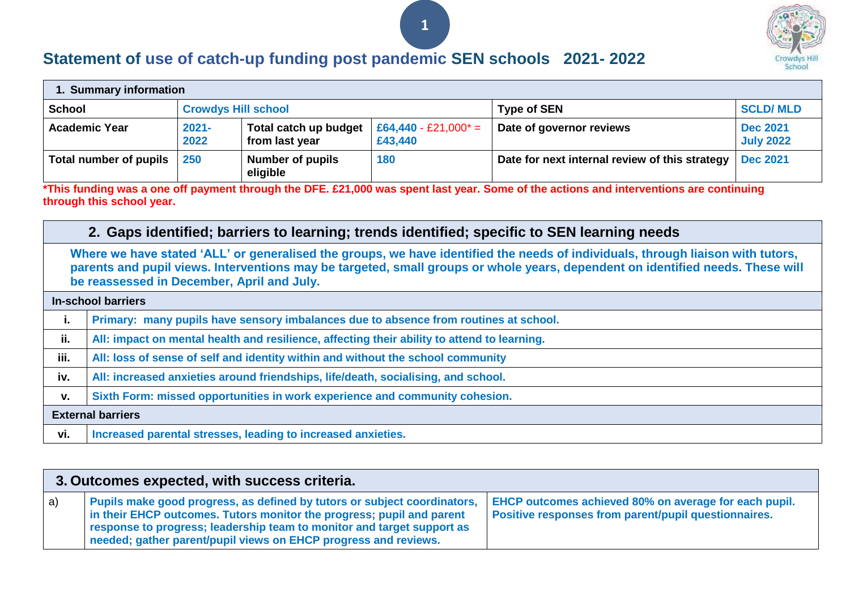

## **Statement of use of catch-up funding post pandemic SEN schools 2021- 2022**

| 1. Summary information |                            |                                         |                                    |                                                |                                     |  |
|------------------------|----------------------------|-----------------------------------------|------------------------------------|------------------------------------------------|-------------------------------------|--|
| <b>School</b>          | <b>Crowdys Hill school</b> |                                         |                                    | <b>Type of SEN</b>                             | <b>SCLD/MLD</b>                     |  |
| <b>Academic Year</b>   | $2021 -$<br>2022           | Total catch up budget<br>from last year | $E64,440 - E21,000^* =$<br>£43,440 | Date of governor reviews                       | <b>Dec 2021</b><br><b>July 2022</b> |  |
| Total number of pupils | 250                        | <b>Number of pupils</b><br>eligible     | 180                                | Date for next internal review of this strategy | <b>Dec 2021</b>                     |  |

**1**

**\*This funding was a one off payment through the DFE. £21,000 was spent last year. Some of the actions and interventions are continuing through this school year.**

## **2. Gaps identified; barriers to learning; trends identified; specific to SEN learning needs**

**Where we have stated 'ALL' or generalised the groups, we have identified the needs of individuals, through liaison with tutors, parents and pupil views. Interventions may be targeted, small groups or whole years, dependent on identified needs. These will be reassessed in December, April and July.**

|      | <b>In-school barriers</b>                                                                   |  |  |  |
|------|---------------------------------------------------------------------------------------------|--|--|--|
| ι.   | Primary: many pupils have sensory imbalances due to absence from routines at school.        |  |  |  |
| ii.  | All: impact on mental health and resilience, affecting their ability to attend to learning. |  |  |  |
| iii. | All: loss of sense of self and identity within and without the school community             |  |  |  |
| iv.  | All: increased anxieties around friendships, life/death, socialising, and school.           |  |  |  |
| V.   | Sixth Form: missed opportunities in work experience and community cohesion.                 |  |  |  |
|      | <b>External barriers</b>                                                                    |  |  |  |
| vi.  | Increased parental stresses, leading to increased anxieties.                                |  |  |  |

|    | 3. Outcomes expected, with success criteria.                                                                                                                                                                                                                                                   |                                                                                                               |  |  |  |
|----|------------------------------------------------------------------------------------------------------------------------------------------------------------------------------------------------------------------------------------------------------------------------------------------------|---------------------------------------------------------------------------------------------------------------|--|--|--|
| a) | Pupils make good progress, as defined by tutors or subject coordinators,<br>in their EHCP outcomes. Tutors monitor the progress; pupil and parent<br>response to progress; leadership team to monitor and target support as<br>needed; gather parent/pupil views on EHCP progress and reviews. | EHCP outcomes achieved 80% on average for each pupil.<br>Positive responses from parent/pupil questionnaires. |  |  |  |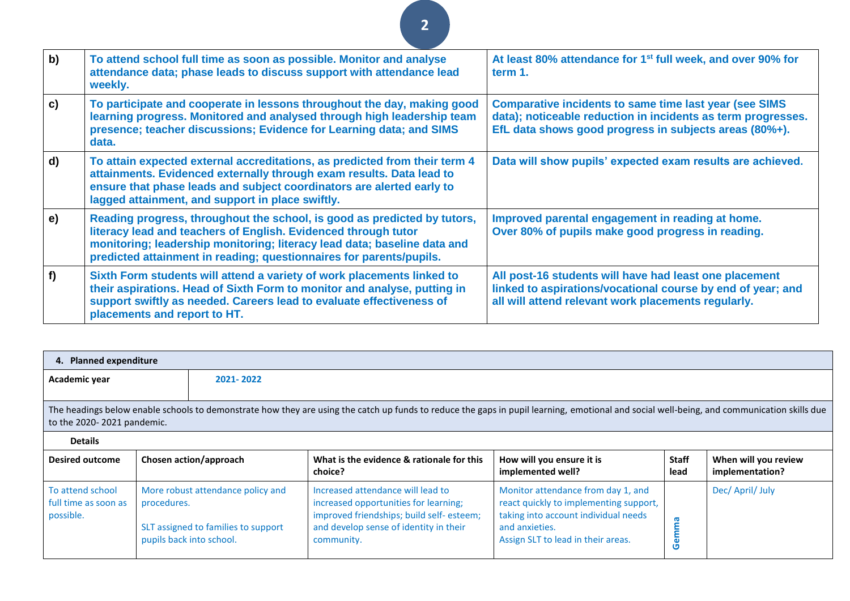| b)           | To attend school full time as soon as possible. Monitor and analyse<br>attendance data; phase leads to discuss support with attendance lead<br>weekly.                                                                                                                                        | At least 80% attendance for 1 <sup>st</sup> full week, and over 90% for<br>term 1.                                                                                                      |
|--------------|-----------------------------------------------------------------------------------------------------------------------------------------------------------------------------------------------------------------------------------------------------------------------------------------------|-----------------------------------------------------------------------------------------------------------------------------------------------------------------------------------------|
| c)           | To participate and cooperate in lessons throughout the day, making good<br>learning progress. Monitored and analysed through high leadership team<br>presence; teacher discussions; Evidence for Learning data; and SIMS<br>data.                                                             | <b>Comparative incidents to same time last year (see SIMS</b><br>data); noticeable reduction in incidents as term progresses.<br>EfL data shows good progress in subjects areas (80%+). |
| $\mathbf{d}$ | To attain expected external accreditations, as predicted from their term 4<br>attainments. Evidenced externally through exam results. Data lead to<br>ensure that phase leads and subject coordinators are alerted early to<br>lagged attainment, and support in place swiftly.               | Data will show pupils' expected exam results are achieved.                                                                                                                              |
| e)           | Reading progress, throughout the school, is good as predicted by tutors,<br>literacy lead and teachers of English. Evidenced through tutor<br>monitoring; leadership monitoring; literacy lead data; baseline data and<br>predicted attainment in reading; questionnaires for parents/pupils. | Improved parental engagement in reading at home.<br>Over 80% of pupils make good progress in reading.                                                                                   |
| f            | Sixth Form students will attend a variety of work placements linked to<br>their aspirations. Head of Sixth Form to monitor and analyse, putting in<br>support swiftly as needed. Careers lead to evaluate effectiveness of<br>placements and report to HT.                                    | All post-16 students will have had least one placement<br>linked to aspirations/vocational course by end of year; and<br>all will attend relevant work placements regularly.            |

**2**

| 4. Planned expenditure                                                                                                                                                                                                   |                                         |                                                                          |                                                                                                                                                                                |                                                                                                                                                                              |                      |                                         |
|--------------------------------------------------------------------------------------------------------------------------------------------------------------------------------------------------------------------------|-----------------------------------------|--------------------------------------------------------------------------|--------------------------------------------------------------------------------------------------------------------------------------------------------------------------------|------------------------------------------------------------------------------------------------------------------------------------------------------------------------------|----------------------|-----------------------------------------|
| Academic year<br>2021-2022                                                                                                                                                                                               |                                         |                                                                          |                                                                                                                                                                                |                                                                                                                                                                              |                      |                                         |
| The headings below enable schools to demonstrate how they are using the catch up funds to reduce the gaps in pupil learning, emotional and social well-being, and communication skills due<br>to the 2020-2021 pandemic. |                                         |                                                                          |                                                                                                                                                                                |                                                                                                                                                                              |                      |                                         |
| <b>Details</b>                                                                                                                                                                                                           |                                         |                                                                          |                                                                                                                                                                                |                                                                                                                                                                              |                      |                                         |
| <b>Desired outcome</b>                                                                                                                                                                                                   |                                         | Chosen action/approach                                                   | What is the evidence & rationale for this<br>choice?                                                                                                                           | How will you ensure it is<br>implemented well?                                                                                                                               | <b>Staff</b><br>lead | When will you review<br>implementation? |
| To attend school<br>full time as soon as<br>possible.                                                                                                                                                                    | procedures.<br>pupils back into school. | More robust attendance policy and<br>SLT assigned to families to support | Increased attendance will lead to<br>increased opportunities for learning;<br>improved friendships; build self-esteem;<br>and develop sense of identity in their<br>community. | Monitor attendance from day 1, and<br>react quickly to implementing support,<br>taking into account individual needs<br>and anxieties.<br>Assign SLT to lead in their areas. | emma<br>O            | Dec/ April/ July                        |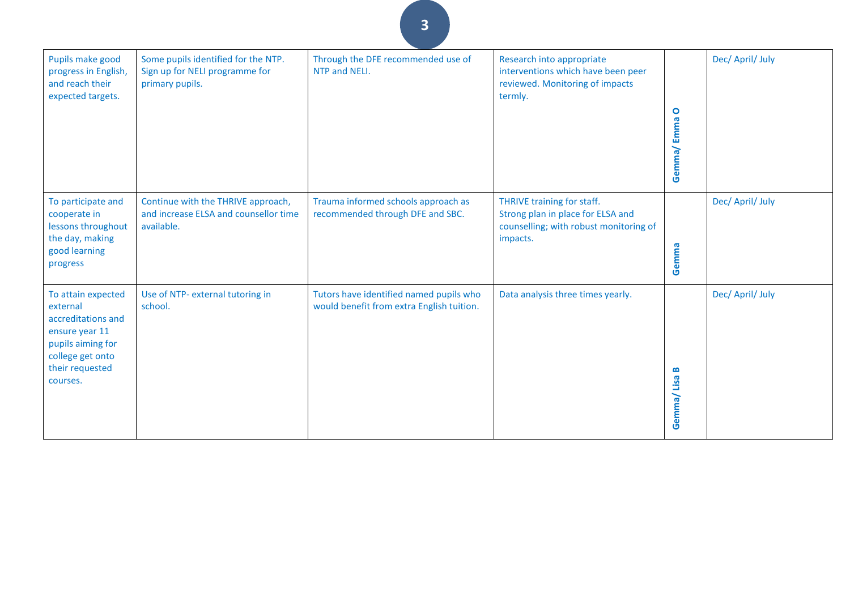| Pupils make good<br>progress in English,<br>and reach their<br>expected targets.                                                               | Some pupils identified for the NTP.<br>Sign up for NELI programme for<br>primary pupils.  | Through the DFE recommended use of<br>NTP and NELI.                                  | Research into appropriate<br>interventions which have been peer<br>reviewed. Monitoring of impacts<br>termly.         | $\bullet$<br>Gemma/Emma | Dec/ April/ July |
|------------------------------------------------------------------------------------------------------------------------------------------------|-------------------------------------------------------------------------------------------|--------------------------------------------------------------------------------------|-----------------------------------------------------------------------------------------------------------------------|-------------------------|------------------|
| To participate and<br>cooperate in<br>lessons throughout<br>the day, making<br>good learning<br>progress                                       | Continue with the THRIVE approach,<br>and increase ELSA and counsellor time<br>available. | Trauma informed schools approach as<br>recommended through DFE and SBC.              | THRIVE training for staff.<br>Strong plan in place for ELSA and<br>counselling; with robust monitoring of<br>impacts. | Gemma                   | Dec/ April/ July |
| To attain expected<br>external<br>accreditations and<br>ensure year 11<br>pupils aiming for<br>college get onto<br>their requested<br>courses. | Use of NTP- external tutoring in<br>school.                                               | Tutors have identified named pupils who<br>would benefit from extra English tuition. | Data analysis three times yearly.                                                                                     | m<br>Gemma/Lisa         | Dec/ April/ July |

**3**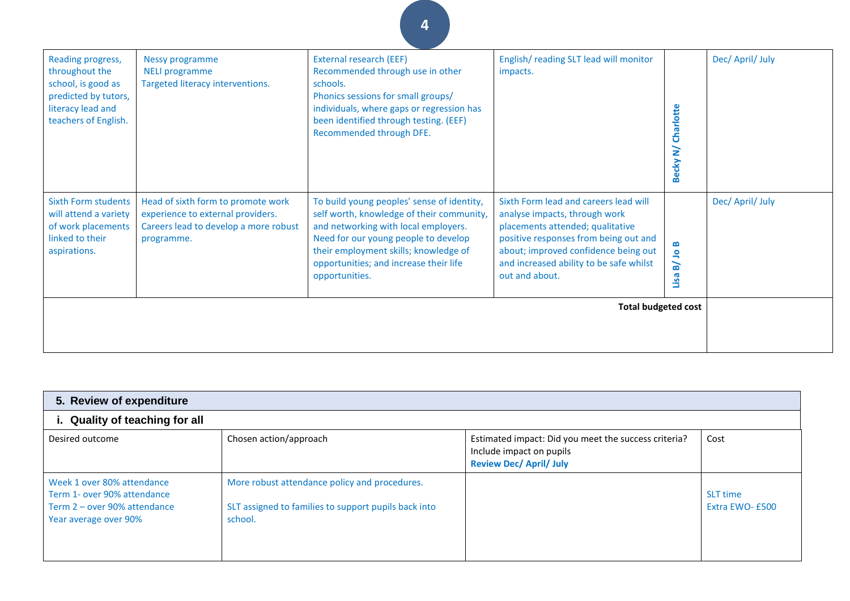| Reading progress,<br>throughout the<br>school, is good as<br>predicted by tutors,<br>literacy lead and<br>teachers of English. | Nessy programme<br><b>NELI programme</b><br>Targeted literacy interventions.                                                   | <b>External research (EEF)</b><br>Recommended through use in other<br>schools.<br>Phonics sessions for small groups/<br>individuals, where gaps or regression has<br>been identified through testing. (EEF)<br>Recommended through DFE.                                      | English/reading SLT lead will monitor<br>impacts.                                                                                                                                                                                                        | Becky N/ Charlotte                        | Dec/ April/ July |
|--------------------------------------------------------------------------------------------------------------------------------|--------------------------------------------------------------------------------------------------------------------------------|------------------------------------------------------------------------------------------------------------------------------------------------------------------------------------------------------------------------------------------------------------------------------|----------------------------------------------------------------------------------------------------------------------------------------------------------------------------------------------------------------------------------------------------------|-------------------------------------------|------------------|
| <b>Sixth Form students</b><br>will attend a variety<br>of work placements<br>linked to their<br>aspirations.                   | Head of sixth form to promote work<br>experience to external providers.<br>Careers lead to develop a more robust<br>programme. | To build young peoples' sense of identity,<br>self worth, knowledge of their community,<br>and networking with local employers.<br>Need for our young people to develop<br>their employment skills; knowledge of<br>opportunities; and increase their life<br>opportunities. | Sixth Form lead and careers lead will<br>analyse impacts, through work<br>placements attended; qualitative<br>positive responses from being out and<br>about; improved confidence being out<br>and increased ability to be safe whilst<br>out and about. | ≃<br>$\mathbf{S}$<br>$\mathbf{B}$<br>Lisa | Dec/ April/ July |
|                                                                                                                                |                                                                                                                                |                                                                                                                                                                                                                                                                              | <b>Total budgeted cost</b>                                                                                                                                                                                                                               |                                           |                  |
|                                                                                                                                |                                                                                                                                |                                                                                                                                                                                                                                                                              |                                                                                                                                                                                                                                                          |                                           |                  |

**4**

| 5. Review of expenditure                                                                                           |                                                                                                                  |                                                                                                                    |                             |  |  |
|--------------------------------------------------------------------------------------------------------------------|------------------------------------------------------------------------------------------------------------------|--------------------------------------------------------------------------------------------------------------------|-----------------------------|--|--|
| i. Quality of teaching for all                                                                                     |                                                                                                                  |                                                                                                                    |                             |  |  |
| Desired outcome                                                                                                    | Chosen action/approach                                                                                           | Estimated impact: Did you meet the success criteria?<br>Include impact on pupils<br><b>Review Dec/ April/ July</b> | Cost                        |  |  |
| Week 1 over 80% attendance<br>Term 1- over 90% attendance<br>Term 2 - over 90% attendance<br>Year average over 90% | More robust attendance policy and procedures.<br>SLT assigned to families to support pupils back into<br>school. |                                                                                                                    | SLT time<br>Extra EWO- £500 |  |  |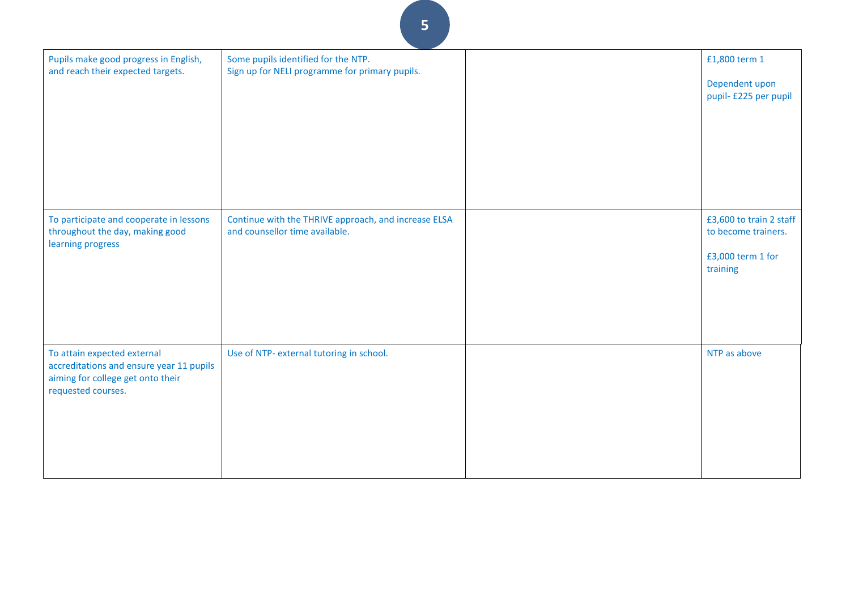| Pupils make good progress in English,<br>and reach their expected targets.                                                         | Some pupils identified for the NTP.<br>Sign up for NELI programme for primary pupils.  | £1,800 term 1<br>Dependent upon<br>pupil- £225 per pupil                        |
|------------------------------------------------------------------------------------------------------------------------------------|----------------------------------------------------------------------------------------|---------------------------------------------------------------------------------|
| To participate and cooperate in lessons<br>throughout the day, making good<br>learning progress                                    | Continue with the THRIVE approach, and increase ELSA<br>and counsellor time available. | £3,600 to train 2 staff<br>to become trainers.<br>£3,000 term 1 for<br>training |
| To attain expected external<br>accreditations and ensure year 11 pupils<br>aiming for college get onto their<br>requested courses. | Use of NTP- external tutoring in school.                                               | NTP as above                                                                    |